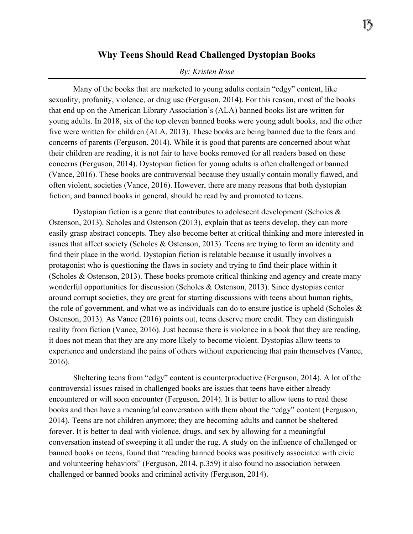## **Why Teens Should Read Challenged Dystopian Books**

## *By: Kristen Rose*

Many of the books that are marketed to young adults contain "edgy" content, like sexuality, profanity, violence, or drug use (Ferguson, 2014). For this reason, most of the books that end up on the American Library Association's (ALA) banned books list are written for young adults. In 2018, six of the top eleven banned books were young adult books, and the other five were written for children (ALA, 2013). These books are being banned due to the fears and concerns of parents (Ferguson, 2014). While it is good that parents are concerned about what their children are reading, it is not fair to have books removed for all readers based on these concerns (Ferguson, 2014). Dystopian fiction for young adults is often challenged or banned (Vance, 2016). These books are controversial because they usually contain morally flawed, and often violent, societies (Vance, 2016). However, there are many reasons that both dystopian fiction, and banned books in general, should be read by and promoted to teens.

Dystopian fiction is a genre that contributes to adolescent development (Scholes  $\&$ Ostenson, 2013). Scholes and Ostenson (2013), explain that as teens develop, they can more easily grasp abstract concepts. They also become better at critical thinking and more interested in issues that affect society (Scholes & Ostenson, 2013). Teens are trying to form an identity and find their place in the world. Dystopian fiction is relatable because it usually involves a protagonist who is questioning the flaws in society and trying to find their place within it (Scholes & Ostenson, 2013). These books promote critical thinking and agency and create many wonderful opportunities for discussion (Scholes & Ostenson, 2013). Since dystopias center around corrupt societies, they are great for starting discussions with teens about human rights, the role of government, and what we as individuals can do to ensure justice is upheld (Scholes & Ostenson, 2013). As Vance (2016) points out, teens deserve more credit. They can distinguish reality from fiction (Vance, 2016). Just because there is violence in a book that they are reading, it does not mean that they are any more likely to become violent. Dystopias allow teens to experience and understand the pains of others without experiencing that pain themselves (Vance, 2016).

Sheltering teens from "edgy" content is counterproductive (Ferguson, 2014). A lot of the controversial issues raised in challenged books are issues that teens have either already encountered or will soon encounter (Ferguson, 2014). It is better to allow teens to read these books and then have a meaningful conversation with them about the "edgy" content (Ferguson, 2014). Teens are not children anymore; they are becoming adults and cannot be sheltered forever. It is better to deal with violence, drugs, and sex by allowing for a meaningful conversation instead of sweeping it all under the rug. A study on the influence of challenged or banned books on teens, found that "reading banned books was positively associated with civic and volunteering behaviors" (Ferguson, 2014, p.359) it also found no association between challenged or banned books and criminal activity (Ferguson, 2014).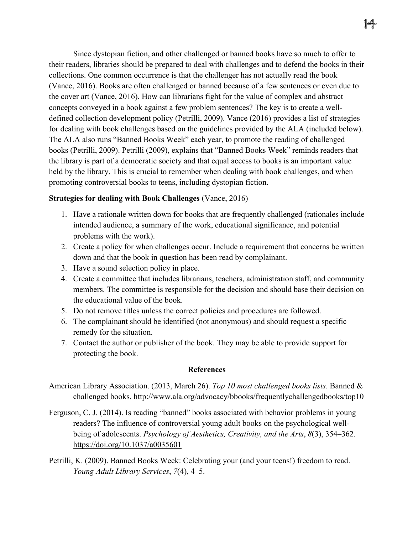Since dystopian fiction, and other challenged or banned books have so much to offer to their readers, libraries should be prepared to deal with challenges and to defend the books in their collections. One common occurrence is that the challenger has not actually read the book (Vance, 2016). Books are often challenged or banned because of a few sentences or even due to the cover art (Vance, 2016). How can librarians fight for the value of complex and abstract concepts conveyed in a book against a few problem sentences? The key is to create a welldefined collection development policy (Petrilli, 2009). Vance (2016) provides a list of strategies for dealing with book challenges based on the guidelines provided by the ALA (included below). The ALA also runs "Banned Books Week" each year, to promote the reading of challenged books (Petrilli, 2009). Petrilli (2009), explains that "Banned Books Week" reminds readers that the library is part of a democratic society and that equal access to books is an important value held by the library. This is crucial to remember when dealing with book challenges, and when promoting controversial books to teens, including dystopian fiction.

## **Strategies for dealing with Book Challenges** (Vance, 2016)

- 1. Have a rationale written down for books that are frequently challenged (rationales include intended audience, a summary of the work, educational significance, and potential problems with the work).
- 2. Create a policy for when challenges occur. Include a requirement that concerns be written down and that the book in question has been read by complainant.
- 3. Have a sound selection policy in place.
- 4. Create a committee that includes librarians, teachers, administration staff, and community members. The committee is responsible for the decision and should base their decision on the educational value of the book.
- 5. Do not remove titles unless the correct policies and procedures are followed.
- 6. The complainant should be identified (not anonymous) and should request a specific remedy for the situation.
- 7. Contact the author or publisher of the book. They may be able to provide support for protecting the book.

## **References**

- American Library Association. (2013, March 26). *Top 10 most challenged books lists*. Banned & challenged books. http://www.ala.org/advocacy/bbooks/frequentlychallengedbooks/top10
- Ferguson, C. J. (2014). Is reading "banned" books associated with behavior problems in young readers? The influence of controversial young adult books on the psychological wellbeing of adolescents. *Psychology of Aesthetics, Creativity, and the Arts*, *8*(3), 354–362. https://doi.org/10.1037/a0035601
- Petrilli, K. (2009). Banned Books Week: Celebrating your (and your teens!) freedom to read. *Young Adult Library Services*, *7*(4), 4–5.